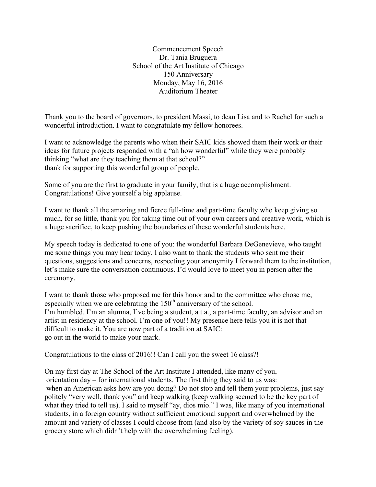Commencement Speech Dr. Tania Bruguera School of the Art Institute of Chicago 150 Anniversary Monday, May 16, 2016 Auditorium Theater

Thank you to the board of governors, to president Massi, to dean Lisa and to Rachel for such a wonderful introduction. I want to congratulate my fellow honorees.

I want to acknowledge the parents who when their SAIC kids showed them their work or their ideas for future projects responded with a "ah how wonderful" while they were probably thinking "what are they teaching them at that school?" thank for supporting this wonderful group of people.

Some of you are the first to graduate in your family, that is a huge accomplishment. Congratulations! Give yourself a big applause.

I want to thank all the amazing and fierce full-time and part-time faculty who keep giving so much, for so little, thank you for taking time out of your own careers and creative work, which is a huge sacrifice, to keep pushing the boundaries of these wonderful students here.

My speech today is dedicated to one of you: the wonderful Barbara DeGenevieve, who taught me some things you may hear today. I also want to thank the students who sent me their questions, suggestions and concerns, respecting your anonymity I forward them to the institution, let's make sure the conversation continuous. I'd would love to meet you in person after the ceremony.

I want to thank those who proposed me for this honor and to the committee who chose me, especially when we are celebrating the  $150<sup>th</sup>$  anniversary of the school. I'm humbled. I'm an alumna, I've being a student, a t.a., a part-time faculty, an advisor and an artist in residency at the school. I'm one of you!! My presence here tells you it is not that difficult to make it. You are now part of a tradition at SAIC: go out in the world to make your mark.

Congratulations to the class of 2016!! Can I call you the sweet 16 class?!

On my first day at The School of the Art Institute I attended, like many of you, orientation day – for international students. The first thing they said to us was: when an American asks how are you doing? Do not stop and tell them your problems, just say politely "very well, thank you" and keep walking (keep walking seemed to be the key part of what they tried to tell us). I said to myself "ay, dios mío." I was, like many of you international students, in a foreign country without sufficient emotional support and overwhelmed by the amount and variety of classes I could choose from (and also by the variety of soy sauces in the grocery store which didn't help with the overwhelming feeling).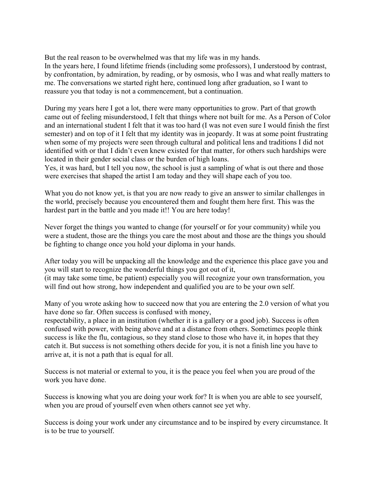But the real reason to be overwhelmed was that my life was in my hands.

In the years here, I found lifetime friends (including some professors), I understood by contrast, by confrontation, by admiration, by reading, or by osmosis, who I was and what really matters to me. The conversations we started right here, continued long after graduation, so I want to reassure you that today is not a commencement, but a continuation.

During my years here I got a lot, there were many opportunities to grow. Part of that growth came out of feeling misunderstood, I felt that things where not built for me. As a Person of Color and an international student I felt that it was too hard (I was not even sure I would finish the first semester) and on top of it I felt that my identity was in jeopardy. It was at some point frustrating when some of my projects were seen through cultural and political lens and traditions I did not identified with or that I didn't even knew existed for that matter, for others such hardships were located in their gender social class or the burden of high loans.

Yes, it was hard, but I tell you now, the school is just a sampling of what is out there and those were exercises that shaped the artist I am today and they will shape each of you too.

What you do not know yet, is that you are now ready to give an answer to similar challenges in the world, precisely because you encountered them and fought them here first. This was the hardest part in the battle and you made it!! You are here today!

Never forget the things you wanted to change (for yourself or for your community) while you were a student, those are the things you care the most about and those are the things you should be fighting to change once you hold your diploma in your hands.

After today you will be unpacking all the knowledge and the experience this place gave you and you will start to recognize the wonderful things you got out of it, (it may take some time, be patient) especially you will recognize your own transformation, you will find out how strong, how independent and qualified you are to be your own self.

Many of you wrote asking how to succeed now that you are entering the 2.0 version of what you have done so far. Often success is confused with money,

respectability, a place in an institution (whether it is a gallery or a good job). Success is often confused with power, with being above and at a distance from others. Sometimes people think success is like the flu, contagious, so they stand close to those who have it, in hopes that they catch it. But success is not something others decide for you, it is not a finish line you have to arrive at, it is not a path that is equal for all.

Success is not material or external to you, it is the peace you feel when you are proud of the work you have done.

Success is knowing what you are doing your work for? It is when you are able to see yourself, when you are proud of yourself even when others cannot see yet why.

Success is doing your work under any circumstance and to be inspired by every circumstance. It is to be true to yourself.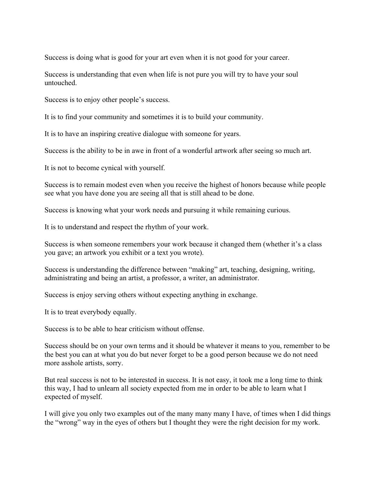Success is doing what is good for your art even when it is not good for your career.

Success is understanding that even when life is not pure you will try to have your soul untouched.

Success is to enjoy other people's success.

It is to find your community and sometimes it is to build your community.

It is to have an inspiring creative dialogue with someone for years.

Success is the ability to be in awe in front of a wonderful artwork after seeing so much art.

It is not to become cynical with yourself.

Success is to remain modest even when you receive the highest of honors because while people see what you have done you are seeing all that is still ahead to be done.

Success is knowing what your work needs and pursuing it while remaining curious.

It is to understand and respect the rhythm of your work.

Success is when someone remembers your work because it changed them (whether it's a class you gave; an artwork you exhibit or a text you wrote).

Success is understanding the difference between "making" art, teaching, designing, writing, administrating and being an artist, a professor, a writer, an administrator.

Success is enjoy serving others without expecting anything in exchange.

It is to treat everybody equally.

Success is to be able to hear criticism without offense.

Success should be on your own terms and it should be whatever it means to you, remember to be the best you can at what you do but never forget to be a good person because we do not need more asshole artists, sorry.

But real success is not to be interested in success. It is not easy, it took me a long time to think this way, I had to unlearn all society expected from me in order to be able to learn what I expected of myself.

I will give you only two examples out of the many many many I have, of times when I did things the "wrong" way in the eyes of others but I thought they were the right decision for my work.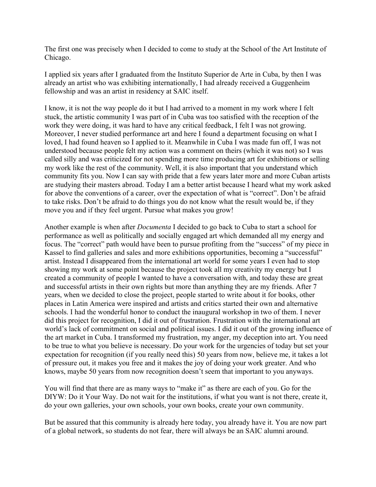The first one was precisely when I decided to come to study at the School of the Art Institute of Chicago.

I applied six years after I graduated from the Instituto Superior de Arte in Cuba, by then I was already an artist who was exhibiting internationally, I had already received a Guggenheim fellowship and was an artist in residency at SAIC itself.

I know, it is not the way people do it but I had arrived to a moment in my work where I felt stuck, the artistic community I was part of in Cuba was too satisfied with the reception of the work they were doing, it was hard to have any critical feedback, I felt I was not growing. Moreover, I never studied performance art and here I found a department focusing on what I loved, I had found heaven so I applied to it. Meanwhile in Cuba I was made fun off, I was not understood because people felt my action was a comment on theirs (which it was not) so I was called silly and was criticized for not spending more time producing art for exhibitions or selling my work like the rest of the community. Well, it is also important that you understand which community fits you. Now I can say with pride that a few years later more and more Cuban artists are studying their masters abroad. Today I am a better artist because I heard what my work asked for above the conventions of a career, over the expectation of what is "correct". Don't be afraid to take risks. Don't be afraid to do things you do not know what the result would be, if they move you and if they feel urgent. Pursue what makes you grow!

Another example is when after *Documenta* I decided to go back to Cuba to start a school for performance as well as politically and socially engaged art which demanded all my energy and focus. The "correct" path would have been to pursue profiting from the "success" of my piece in Kassel to find galleries and sales and more exhibitions opportunities, becoming a "successful" artist. Instead I disappeared from the international art world for some years I even had to stop showing my work at some point because the project took all my creativity my energy but I created a community of people I wanted to have a conversation with, and today these are great and successful artists in their own rights but more than anything they are my friends. After 7 years, when we decided to close the project, people started to write about it for books, other places in Latin America were inspired and artists and critics started their own and alternative schools. I had the wonderful honor to conduct the inaugural workshop in two of them. I never did this project for recognition, I did it out of frustration. Frustration with the international art world's lack of commitment on social and political issues. I did it out of the growing influence of the art market in Cuba. I transformed my frustration, my anger, my deception into art. You need to be true to what you believe is necessary. Do your work for the urgencies of today but set your expectation for recognition (if you really need this) 50 years from now, believe me, it takes a lot of pressure out, it makes you free and it makes the joy of doing your work greater. And who knows, maybe 50 years from now recognition doesn't seem that important to you anyways.

You will find that there are as many ways to "make it" as there are each of you. Go for the DIYW: Do it Your Way. Do not wait for the institutions, if what you want is not there, create it, do your own galleries, your own schools, your own books, create your own community.

But be assured that this community is already here today, you already have it. You are now part of a global network, so students do not fear, there will always be an SAIC alumni around.